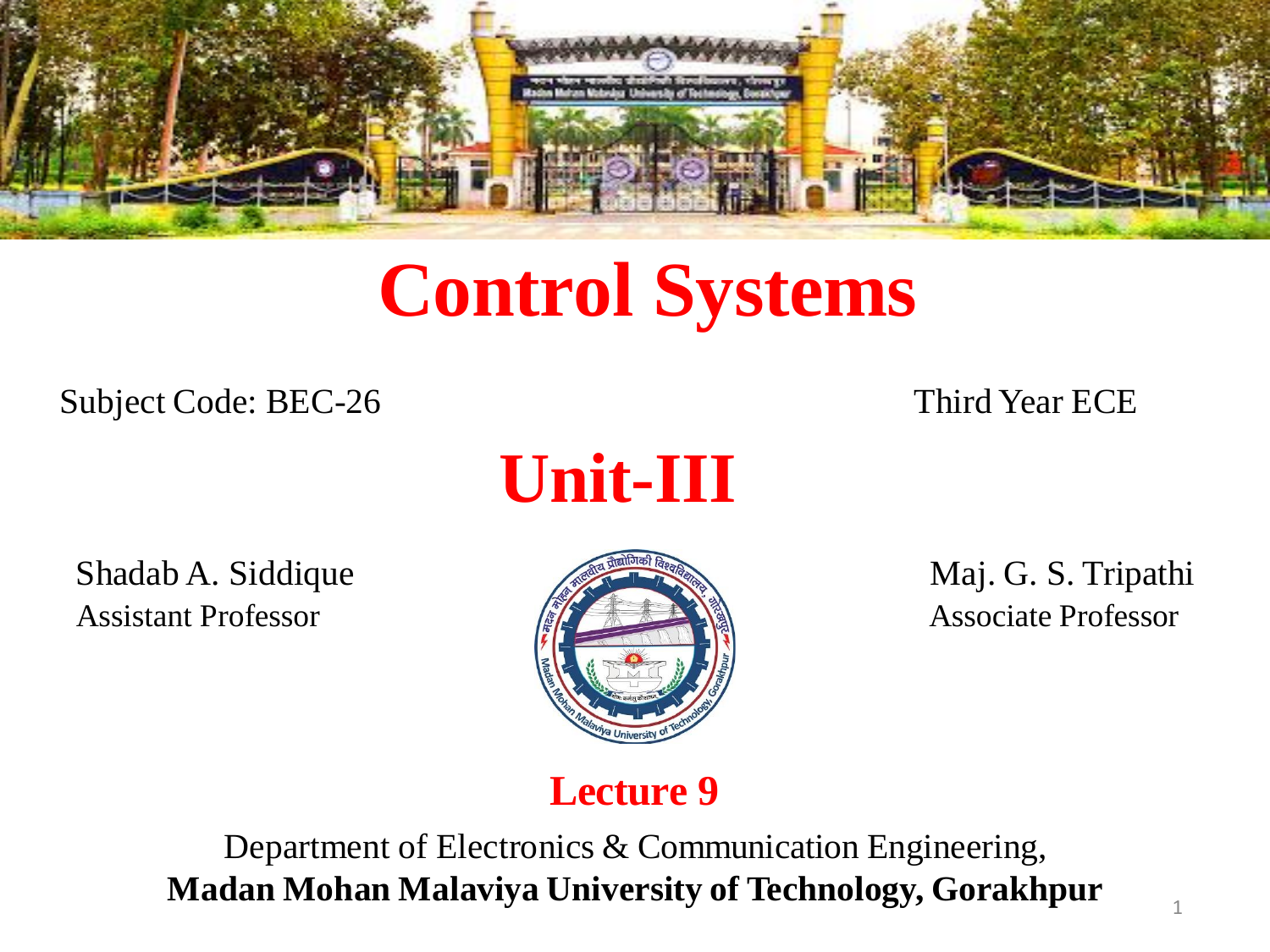

# **Control Systems**

Subject Code: BEC-26 Third Year ECE



Shadab A. Siddique Maj. G. S. Tripathi Assistant Professor **Associate Professor** Associate Professor



### **Lecture 9**

Department of Electronics & Communication Engineering, **Madan Mohan Malaviya University of Technology, Gorakhpur**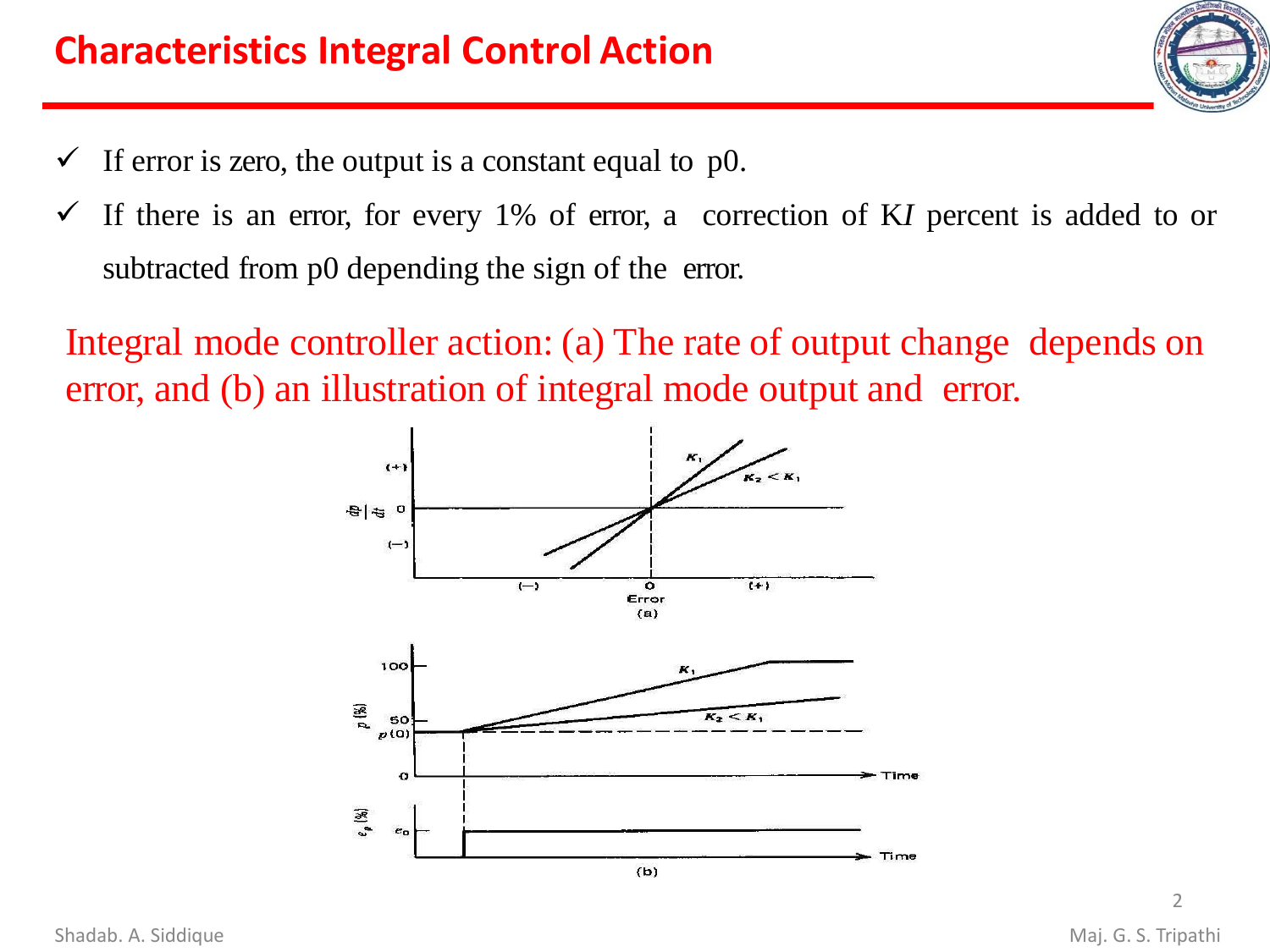- $\checkmark$  If error is zero, the output is a constant equal to p0.
- ✓ If there is an error, for every 1% of error, a correction of K*I* percent is added to or subtracted from p0 depending the sign of the error.

Integral mode controller action: (a) The rate of output change depends on error, and (b) an illustration of integral mode output and error.



 $\mathfrak{I}$ 

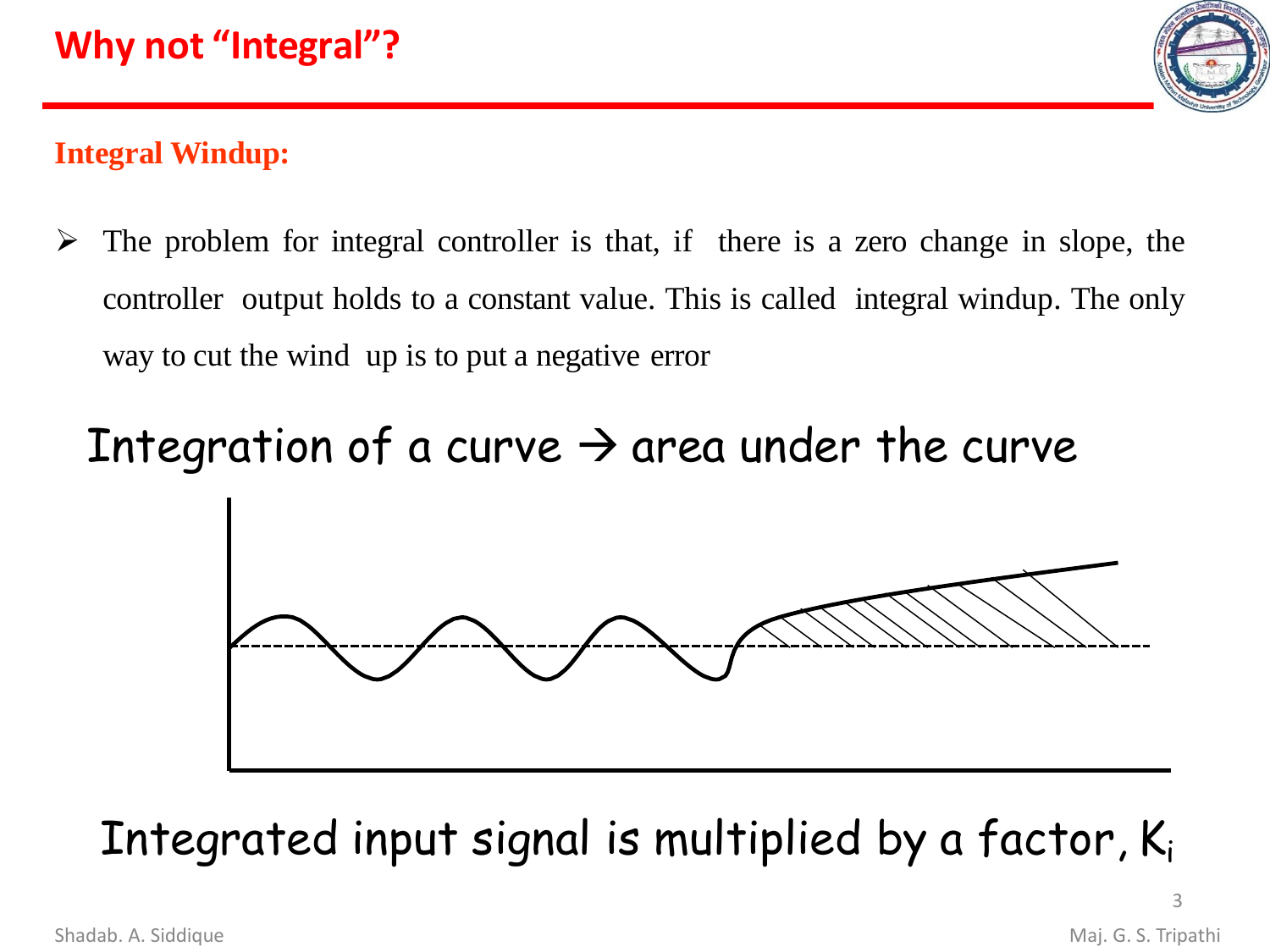

#### **Integral Windup:**

 $\triangleright$  The problem for integral controller is that, if there is a zero change in slope, the controller output holds to a constant value. This is called integral windup. The only way to cut the wind up is to put a negative error

# Integration of a curve  $\rightarrow$  area under the curve



Integrated input signal is multiplied by a factor,  $K_i$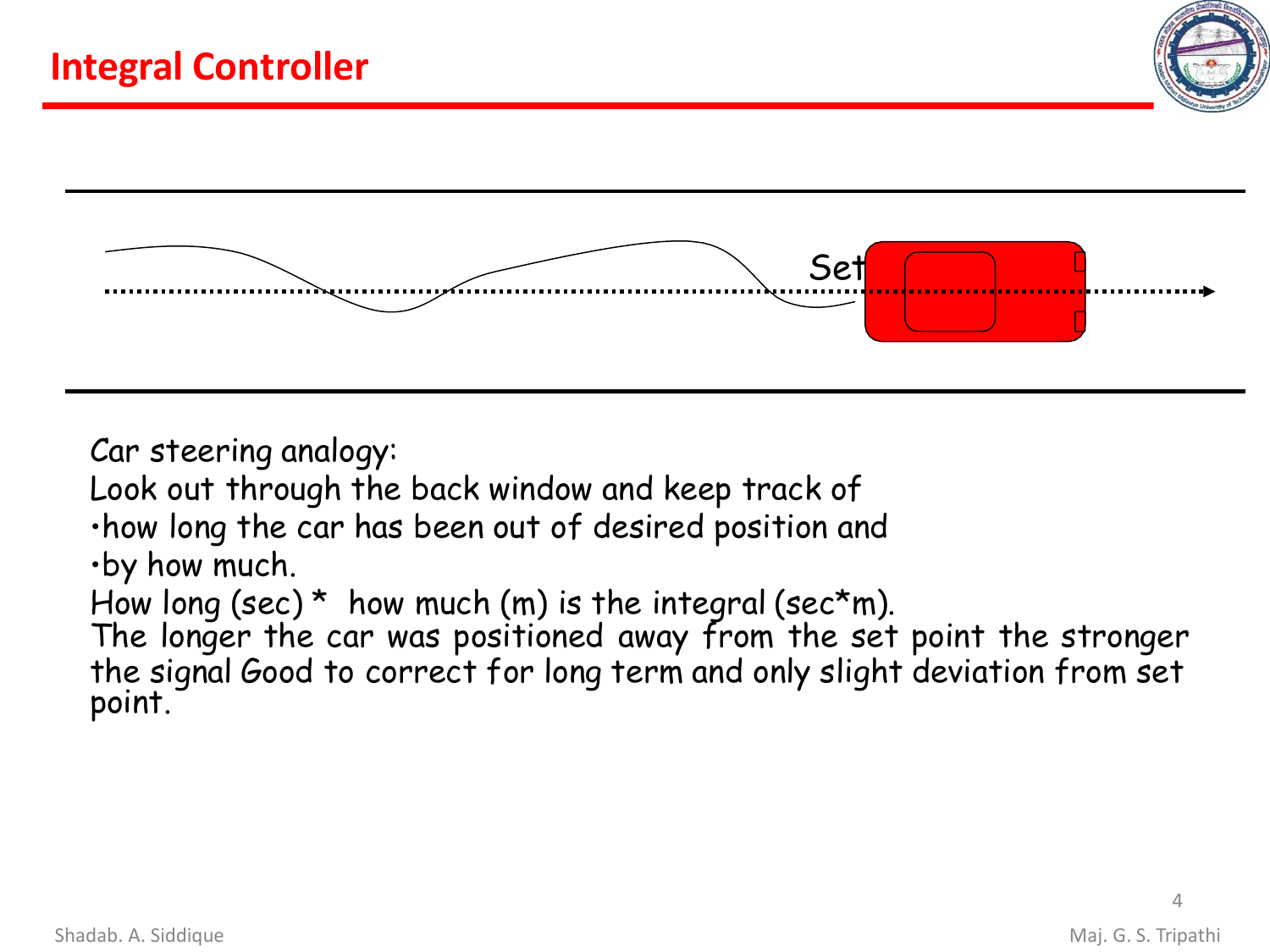



Car steering analogy:

Look out through the back window and keep track of

•how long the car has been out of desired position and

•by how much.

How long (sec)  $*$  how much (m) is the integral (sec $*$ m).

The longer the car was positioned away from the set point the stronger the signal Good to correct for long term and only slight deviation from set point.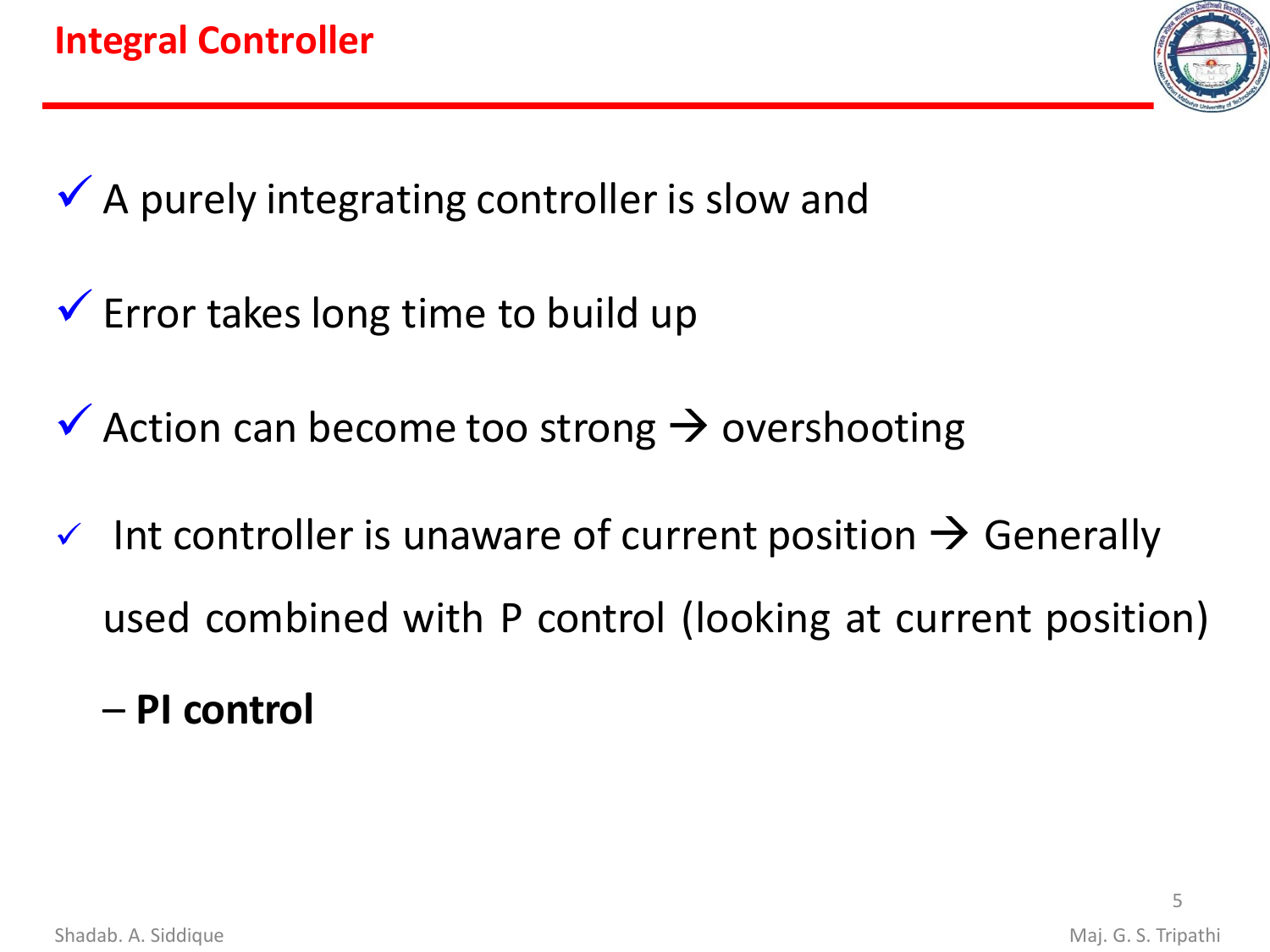

 $\checkmark$  A purely integrating controller is slow and

- $\checkmark$  Error takes long time to build up
- $\checkmark$  Action can become too strong  $\to$  overshooting
- $\checkmark$  Int controller is unaware of current position  $\hat{\to}$  Generally used combined with P control (looking at current position)
	- **PI control**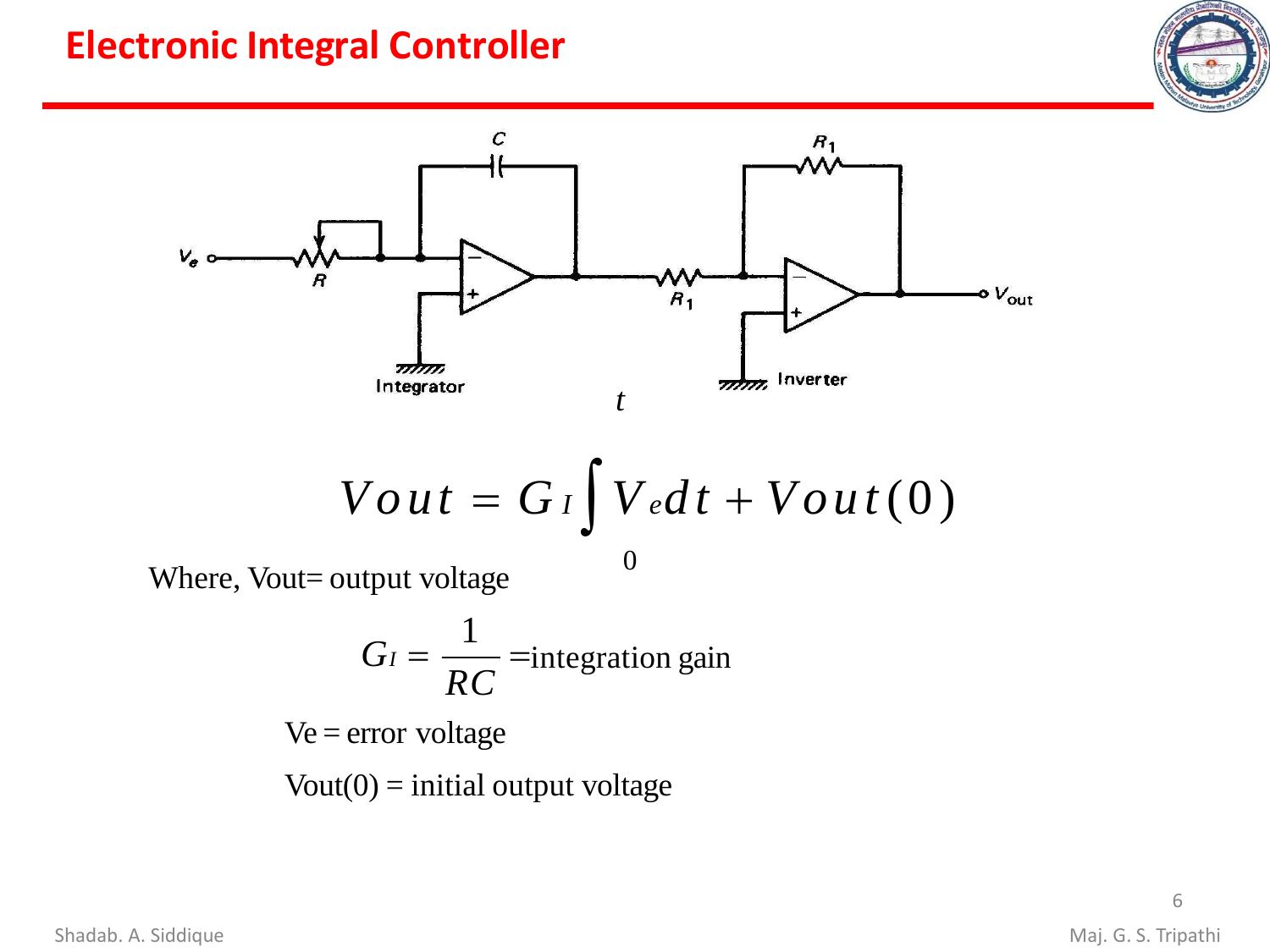### **Electronic Integral Controller**





$$
Vout = G_I \int V_e dt + Vout(0)
$$

Where, Vout= output voltage

$$
G_I = \frac{1}{RC}
$$
 =integration gain

Ve = error voltage

 $Vout(0) = initial output voltage$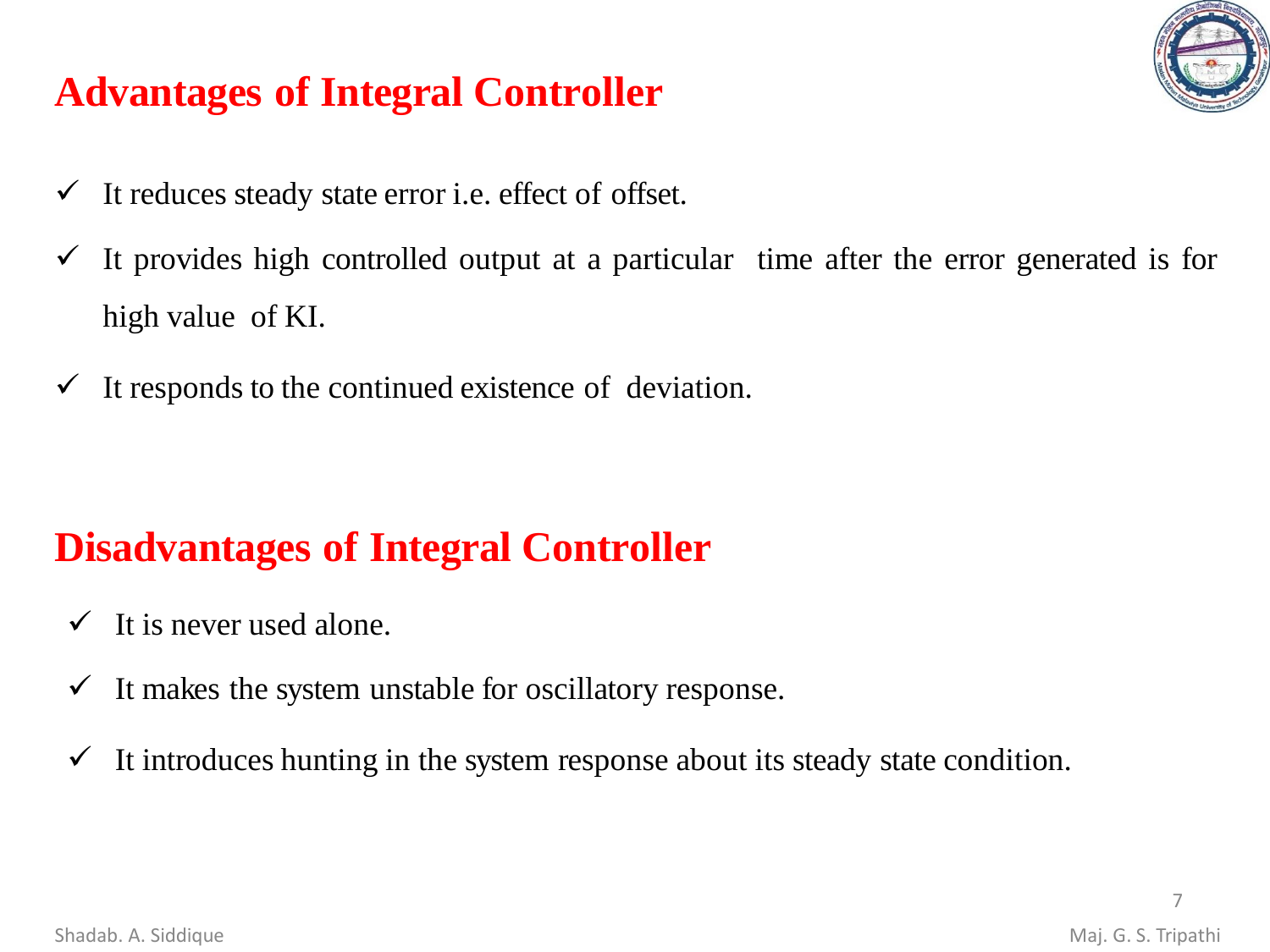

# **Advantages of Integral Controller**

- $\checkmark$  It reduces steady state error i.e. effect of offset.
- $\checkmark$  It provides high controlled output at a particular time after the error generated is for high value of KI.
- $\checkmark$  It responds to the continued existence of deviation.

# **Disadvantages of Integral Controller**

- $\checkmark$  It is never used alone.
- $\checkmark$  It makes the system unstable for oscillatory response.
- $\checkmark$  It introduces hunting in the system response about its steady state condition.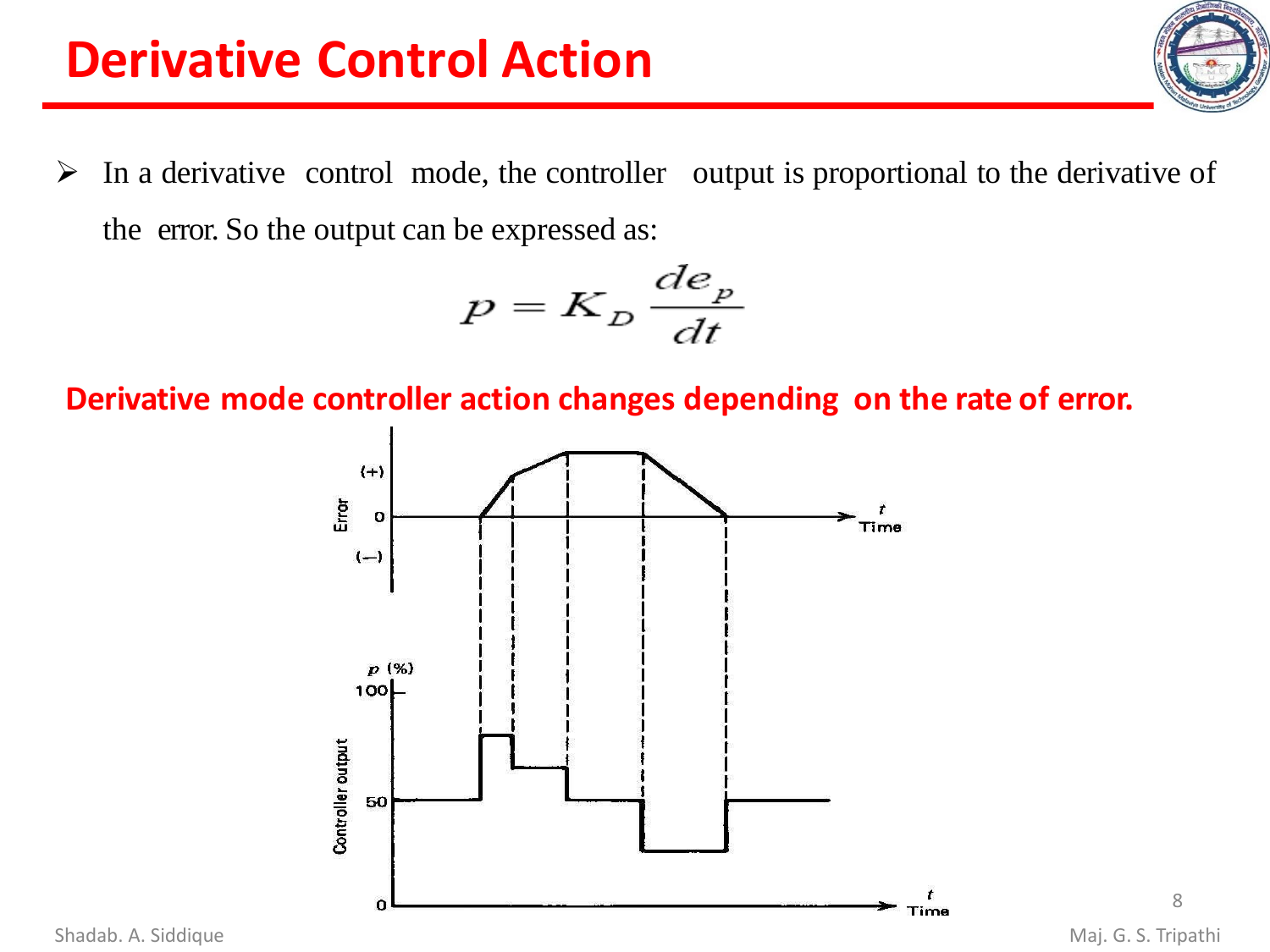# **Derivative Control Action**

 $\triangleright$  In a derivative control mode, the controller output is proportional to the derivative of the error. So the output can be expressed as:

$$
p = K_D \frac{de_p}{dt}
$$

**Derivative mode controller action changes depending on the rate of error.**



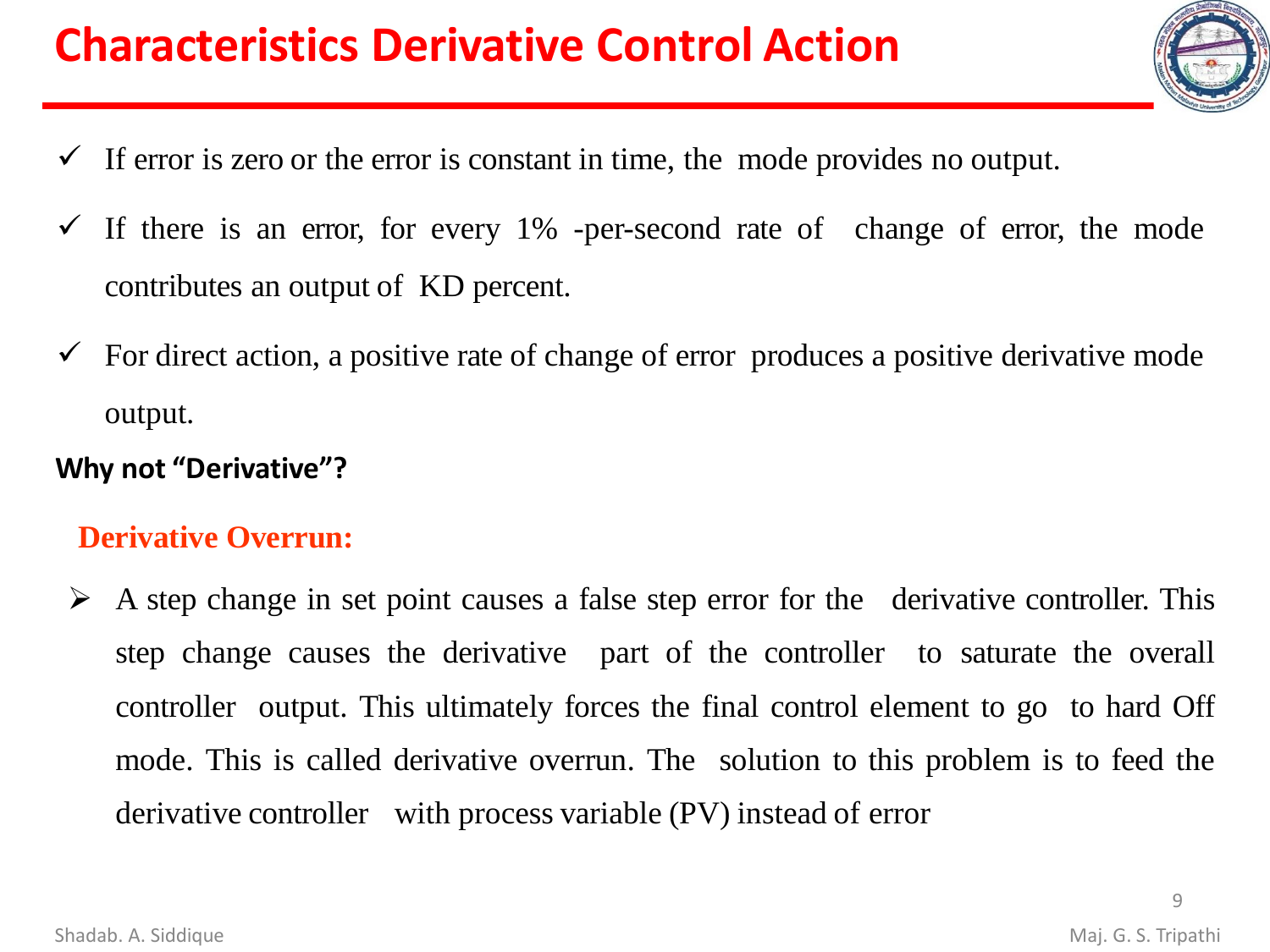# **Characteristics Derivative Control Action**

- 
- $\checkmark$  If error is zero or the error is constant in time, the mode provides no output.
- $\checkmark$  If there is an error, for every 1% -per-second rate of change of error, the mode contributes an output of KD percent.
- $\checkmark$  For direct action, a positive rate of change of error produces a positive derivative mode output.

#### **Why not "Derivative"?**

#### **Derivative Overrun:**

 $\triangleright$  A step change in set point causes a false step error for the derivative controller. This step change causes the derivative part of the controller to saturate the overall controller output. This ultimately forces the final control element to go to hard Off mode. This is called derivative overrun. The solution to this problem is to feed the derivative controller with process variable (PV) instead of error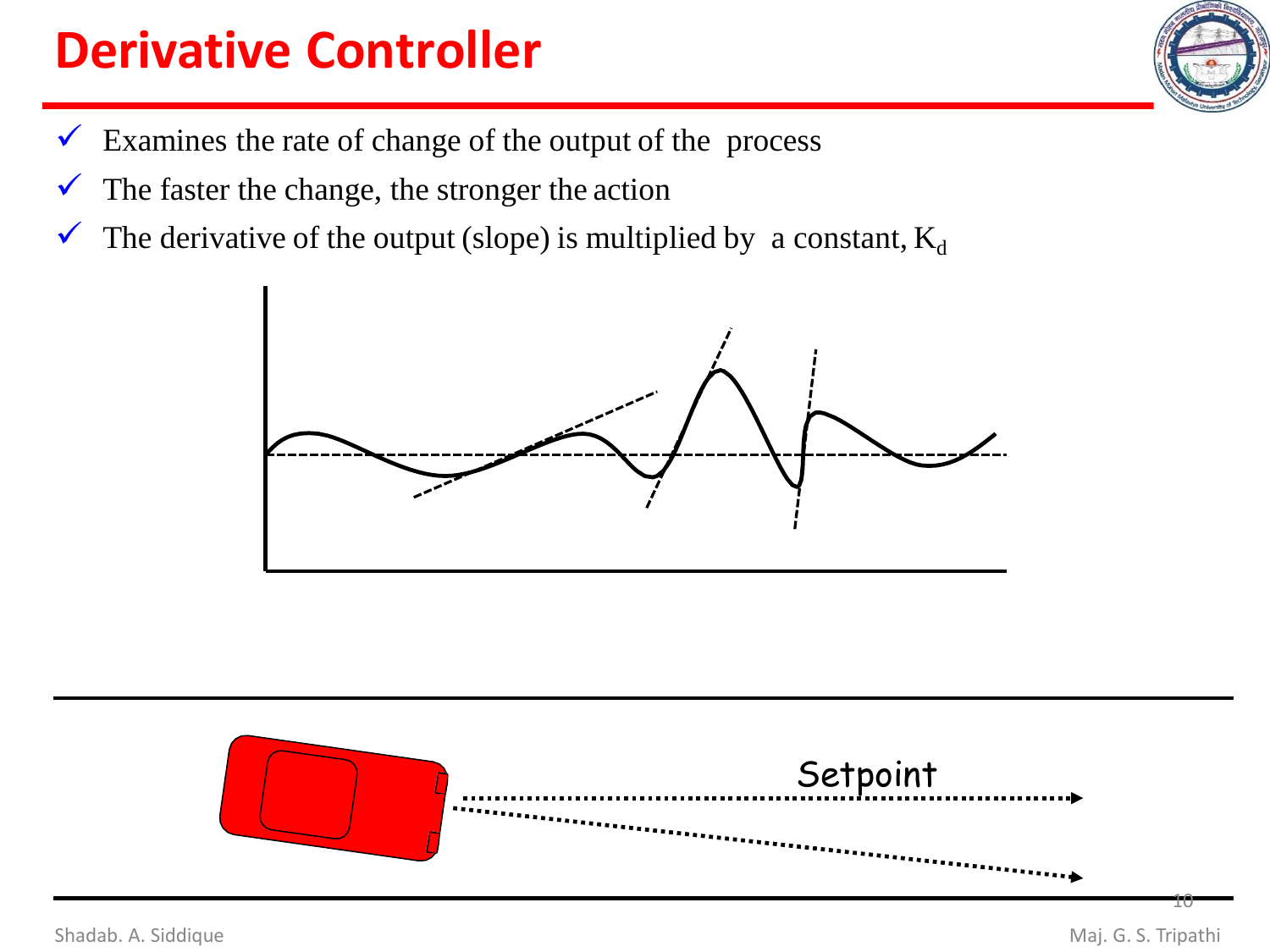# **Derivative Controller**

- $\checkmark$  Examines the rate of change of the output of the process
- $\checkmark$  The faster the change, the stronger the action
- $\checkmark$  The derivative of the output (slope) is multiplied by a constant,  $K_d$





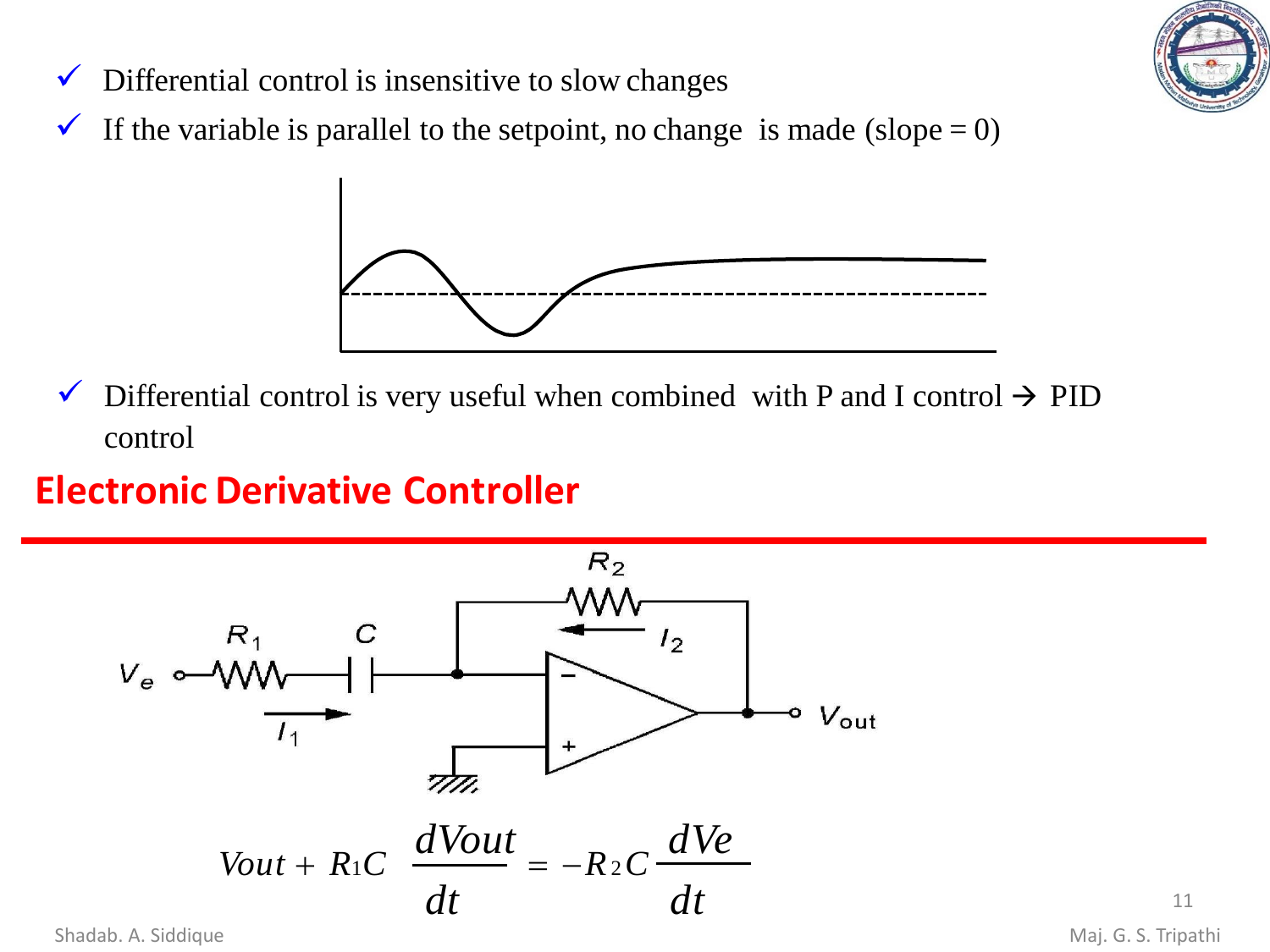

- $\checkmark$  Differential control is insensitive to slow changes
- $\checkmark$  If the variable is parallel to the setpoint, no change is made (slope = 0)



 $\checkmark$  Differential control is very useful when combined with P and I control  $\hat{\to}$  PID control

### **Electronic Derivative Controller**



Shadab. A. Siddique **Maj. G. S. Tripathi**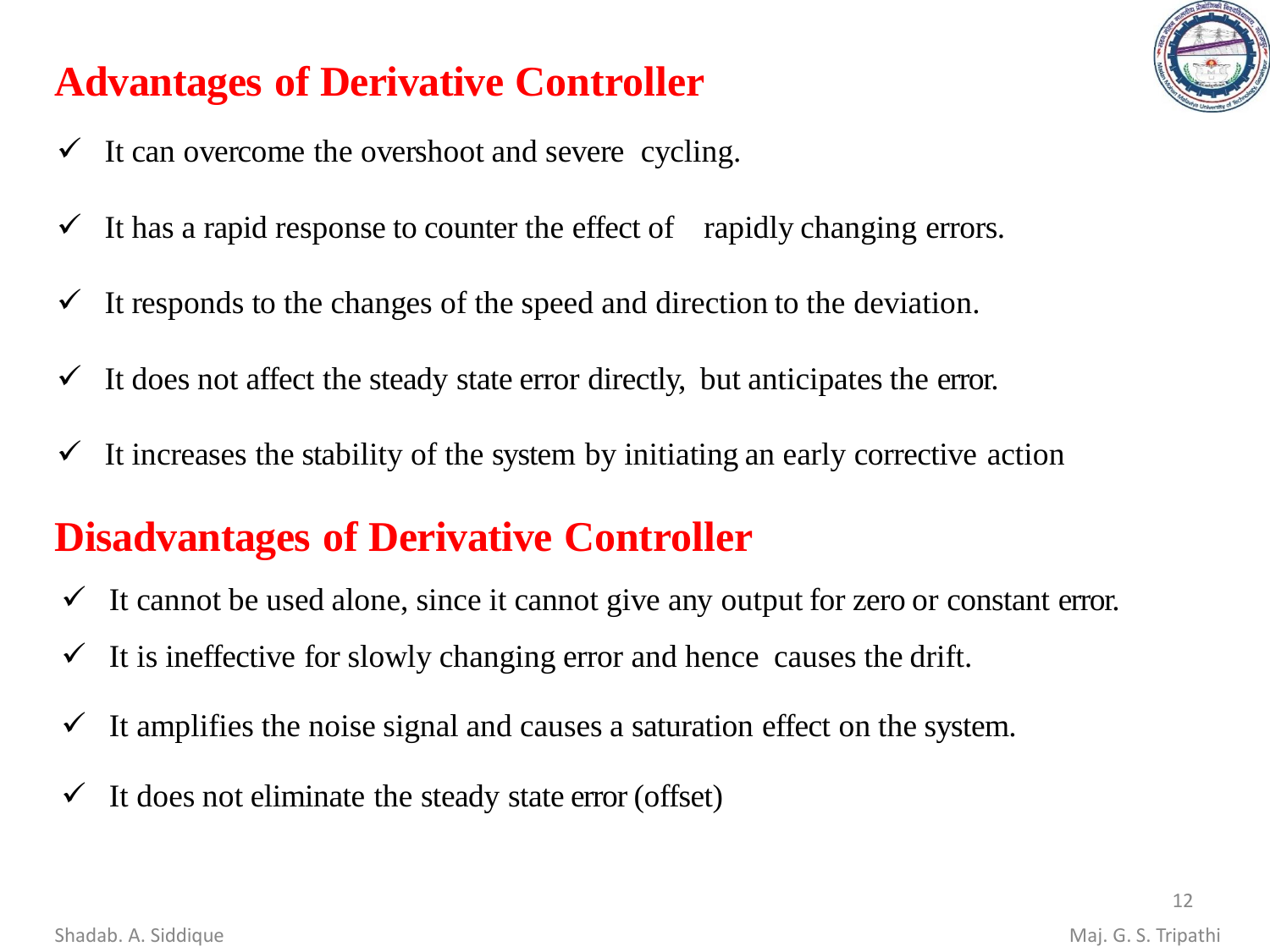# **Advantages of Derivative Controller**

- $\checkmark$  It can overcome the overshoot and severe cycling.
- $\checkmark$  It has a rapid response to counter the effect of rapidly changing errors.
- $\checkmark$  It responds to the changes of the speed and direction to the deviation.
- $\checkmark$  It does not affect the steady state error directly, but anticipates the error.
- $\checkmark$  It increases the stability of the system by initiating an early corrective action

### **Disadvantages of Derivative Controller**

- $\checkmark$  It cannot be used alone, since it cannot give any output for zero or constant error.
- $\checkmark$  It is ineffective for slowly changing error and hence causes the drift.
- $\checkmark$  It amplifies the noise signal and causes a saturation effect on the system.
- $\checkmark$  It does not eliminate the steady state error (offset)

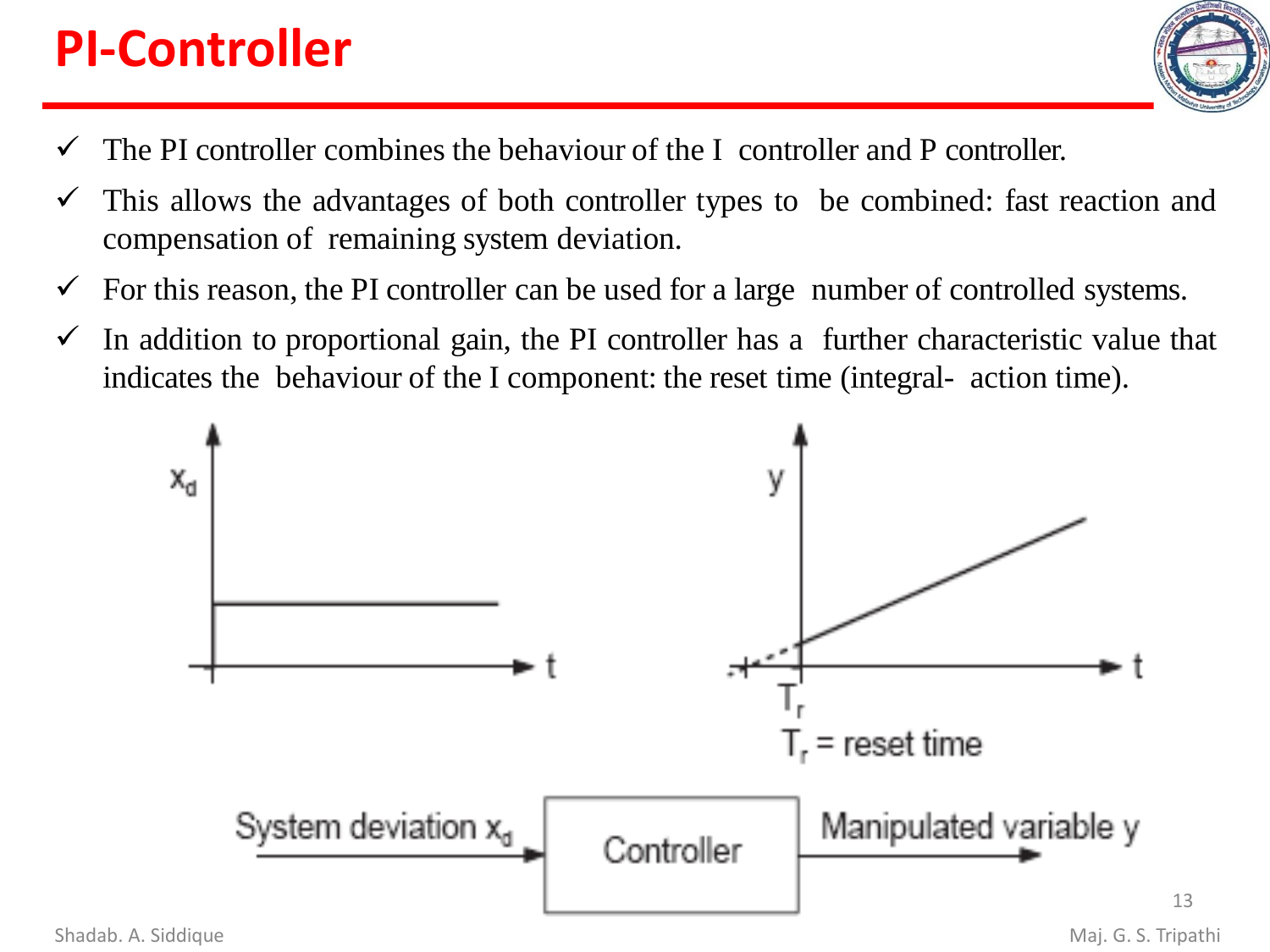# **PI-Controller**



- $\checkmark$  The PI controller combines the behaviour of the I controller and P controller.
- $\checkmark$  This allows the advantages of both controller types to be combined: fast reaction and compensation of remaining system deviation.
- $\checkmark$  For this reason, the PI controller can be used for a large number of controlled systems.
- $\checkmark$  In addition to proportional gain, the PI controller has a further characteristic value that indicates the behaviour of the I component: the reset time (integral- action time).